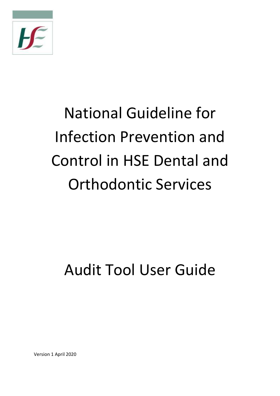

# National Guideline for Infection Prevention and Control in HSE Dental and Orthodontic Services

## Audit Tool User Guide

Version 1 April 2020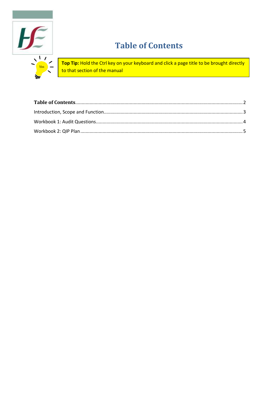

### **Table of Contents**

<span id="page-1-0"></span>Top Tip: Hold the Ctrl key on your keyboard and click a page title to be brought directly to that section of the manual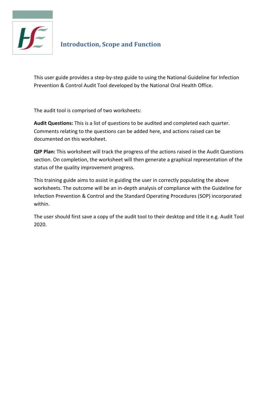

### <span id="page-2-0"></span>**Introduction, Scope and Function**

This user guide provides a step-by-step guide to using the National Guideline for Infection Prevention & Control Audit Tool developed by the National Oral Health Office.

The audit tool is comprised of two worksheets:

**Audit Questions:** This is a list of questions to be audited and completed each quarter. Comments relating to the questions can be added here, and actions raised can be documented on this worksheet.

**QIP Plan:** This worksheet will track the progress of the actions raised in the Audit Questions section. On completion, the worksheet will then generate a graphical representation of the status of the quality improvement progress.

This training guide aims to assist in guiding the user in correctly populating the above worksheets. The outcome will be an in-depth analysis of compliance with the Guideline for Infection Prevention & Control and the Standard Operating Procedures (SOP) incorporated within.

<span id="page-2-1"></span>The user should first save a copy of the audit tool to their desktop and title it e.g. Audit Tool 2020.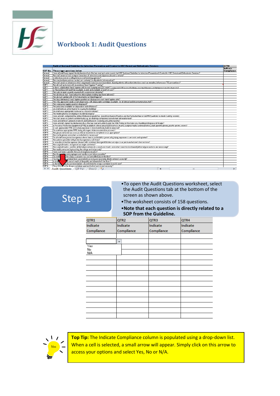

### **Workbook 1: Audit Questions**

|                                                            | Audit of National Guideline for Infection Prevention and Control in HSE Dental and Orthodontic Services                                                                             | <b>QTR1</b> |
|------------------------------------------------------------|-------------------------------------------------------------------------------------------------------------------------------------------------------------------------------------|-------------|
|                                                            |                                                                                                                                                                                     | Indicate    |
|                                                            | SOP No. Please type questions below                                                                                                                                                 | Compliance  |
| General                                                    | Have all staff have signed the declaration that s/he has read and understands the HSE National Guideline for Infection Prevention & Control in HSE Dental and Orthodontic Services? |             |
| General                                                    | Are staff aware of how to report breaches of infection control protocols and to whom?                                                                                               |             |
| General                                                    | Is infection control a rolling item on staff meeting agendas?                                                                                                                       |             |
| General                                                    | Are standard precautions carried out routinely for all patients (observation)?                                                                                                      |             |
| General                                                    | Are staff aware of situations which may require transmission-based(risk -based patients with active infections such as measles, influenza or TB) precautions?                       |             |
| SOP1                                                       | Are all staff up to date with mandatory Hand Hygiene Training?                                                                                                                      |             |
| SOP <sub>1</sub>                                           | Is there a dedicated Hand Hygiene sink in each surgery and LDU room? (equippeduith HSE approved liquidroop, paper toused dispenses, and foot operated non clinical uarte bin)?      |             |
| SOP <sub>1</sub>                                           | Is Alcohol Based Hand Rub available, in date and available at point of care?                                                                                                        |             |
| SOP <sub>1</sub>                                           | Are cuts or open wounds covered with a waterproof dressing?                                                                                                                         |             |
| SOP <sub>1</sub>                                           | Are all clinical staff "bare below the elbow (plain wedding tupe band allowed)?                                                                                                     |             |
| SOP <sub>1</sub>                                           | Are all staff familiar with VHO 5 moments for Hand Hugiene?                                                                                                                         |             |
| 50P1                                                       | Are there laminated Hand Hugiene posters on display over each hand hugiene sink?                                                                                                    |             |
| SOP <sub>1</sub>                                           | Are HSE approved hands cream dispensers with disposable cartridges available for all clinical and decontamination staff?                                                            |             |
| SOP2                                                       | Are respiratory hygiene posters displayed?                                                                                                                                          |             |
| SOP <sub>2</sub>                                           | Are pedal bins available for disposal of soiled tissues?                                                                                                                            |             |
| SOP3                                                       | Do staff remove uniform prior to leaving the building?                                                                                                                              |             |
| SOP3                                                       | Do staff wear appropriate footwear i.e. closed in shoes?                                                                                                                            |             |
| SOP3                                                       | Are mobile phones on display in the dental surgery?                                                                                                                                 |             |
| SOP3                                                       | Have all staff completed the online HSEIand programmes Good Information Practice and the Fundamentals of GDPR?(auditors to check training records)                                  |             |
| SOP 3                                                      | Are staff aware of patient confidentiality e.g. are desktop computers locked when left unattended?                                                                                  |             |
| $SOP +$                                                    | Have all staff been advised of benefit and facilitated in receiving annual flu vaccine?                                                                                             |             |
| SOP <sub>4</sub>                                           | Have all staff signed the declaration that s/he has read and understands the HSE Policy for the Safe Use, Handling & Disposal of Sharps?                                            |             |
| SOP <sub>5</sub>                                           | Is Personal Protective Equipment (PPE) available in clinical areas/LDU room i.e. masks (surgical masks and respirators), task specific gloves, plastic aprons, visors?              |             |
| SOP <sub>5</sub>                                           | Is task appropriate PPE worn when exposure to blood and body fluids is expected?                                                                                                    |             |
| SOP <sub>5</sub>                                           | Do staff use appropriate PPE during all stages of decontamination process?                                                                                                          |             |
| SOP <sub>5</sub>                                           | Are gloves removed as soon as clinical treatment is completed or as appropriate?                                                                                                    |             |
| SOP 5                                                      | Are sterile gloves worn when a sterile field is necessary?                                                                                                                          |             |
| SOP <sub>5</sub>                                           | Do all staff wear protective eyewear where there is potential for penetrating injury, exposure to aerosols and splatter?                                                            |             |
| SOP 5                                                      | Are patients provided with protective evewear at all times?                                                                                                                         |             |
| SOP <sub>5</sub>                                           | Is reusable protective eyewear cleaned with combined detergent/disinfectant wipe or as per manufacturer's instructions?                                                             |             |
| SOP 5                                                      | Are surgical masks recognised as single use items?                                                                                                                                  |             |
| SOP <sub>5</sub>                                           | Are surgical masks used for all dental procedures (is a respirator mask worn when transmission based (airborne) precautions are necessary)?                                         |             |
| SOP 5                                                      | Are masks removed bu touching the strings and loops only?                                                                                                                           |             |
| SOP <sub>5</sub>                                           | Have staff been trained in the use of respirator masks?                                                                                                                             |             |
| SOP <sub>6</sub>                                           | safety syringes and needles used where possible?<br>Are disposed                                                                                                                    |             |
| SOP6                                                       | the sharps container has not been filled above the line?<br>Do staff                                                                                                                |             |
| SOP <sub>6</sub>                                           | container been assembled correctly and assembly details entered correctly?<br>Has the                                                                                               |             |
| SOP6                                                       | For out of reach of the public and situated off the floor ?<br>Is share                                                                                                             |             |
| SOP <sub>6</sub>                                           | I closure mechanism closed when the sharps container is not in use?<br>Is the ter                                                                                                   |             |
| SOP 6                                                      | Once 3/4 full, is the sharps container aperture locked and stored securely ?                                                                                                        |             |
| $\blacktriangleright$ $\blacktriangleright$ $\blacksquare$ | Audit Ouestions QIP Plan Sheet3 2<br>Iïl ∢<br>Ш                                                                                                                                     | ÞГ          |

## Step 1

•To open the Audit Questions worksheet, select the Audit Questions tab at the bottom of the screen as shown above.

- •The woksheet consists of 158 questions.
- •**Note that each question is directly related to a SOP from the Guideline.**

| QTR1       | QTR <sub>2</sub>        | QTR3       | QTR4       |  |
|------------|-------------------------|------------|------------|--|
| Indicate   | Indicate                | Indicate   | Indicate   |  |
| Compliance | Compliance              | Compliance | Compliance |  |
|            |                         |            |            |  |
|            | $\overline{\mathbf{v}}$ |            |            |  |
| Yes<br>No  |                         |            |            |  |
| <b>N/A</b> |                         |            |            |  |
|            |                         |            |            |  |
|            |                         |            |            |  |
|            |                         |            |            |  |
|            |                         |            |            |  |
|            |                         |            |            |  |
|            |                         |            |            |  |
|            |                         |            |            |  |
|            |                         |            |            |  |
|            |                         |            |            |  |
|            |                         |            |            |  |
|            |                         |            |            |  |
|            |                         |            |            |  |
|            |                         |            |            |  |



**Top Tip:** The Indicate Compliance column is populated using a drop-down list. When a cell is selected, a small arrow will appear. Simply click on this arrow to access your options and select Yes, No or N/A.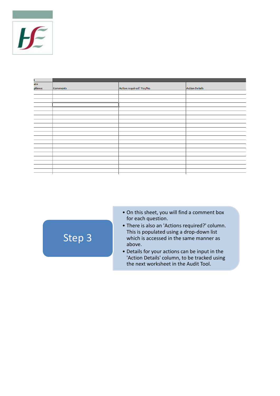

<span id="page-4-0"></span>

| ate     |                 |                         |                       |
|---------|-----------------|-------------------------|-----------------------|
| pliance | <b>Comments</b> | Action required? Yes/No | <b>Action Details</b> |
|         |                 |                         |                       |
|         |                 |                         |                       |
|         |                 |                         |                       |
|         |                 |                         |                       |
|         |                 |                         |                       |
|         |                 |                         |                       |
|         |                 |                         |                       |
|         |                 |                         |                       |
|         |                 |                         |                       |
|         |                 |                         |                       |
|         |                 |                         |                       |
|         |                 |                         |                       |
|         |                 |                         |                       |
|         |                 |                         |                       |
|         |                 |                         |                       |
|         |                 |                         |                       |
|         |                 |                         |                       |
|         |                 |                         |                       |
|         |                 |                         |                       |
|         |                 |                         |                       |
|         |                 |                         |                       |

| Step 3 | • On this sheet, you will find a comment box<br>for each question.<br>• There is also an 'Actions required?' column.<br>This is populated using a drop-down list<br>which is accessed in the same manner as<br>above. |
|--------|-----------------------------------------------------------------------------------------------------------------------------------------------------------------------------------------------------------------------|
|        | • Details for your actions can be input in the<br>'Action Details' column, to be tracked using<br>the next worksheet in the Audit Tool.                                                                               |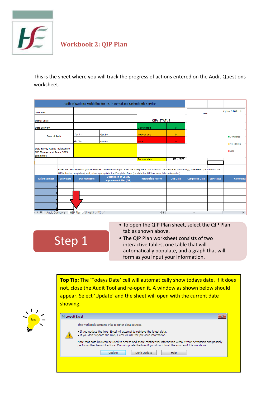

### **Workbook 2: QIP Plan**

Step 1

This is the sheet where you will track the progress of actions entered on the Audit Questions worksheet.

|                                                                           | Audit of National Guideline for IPC in Dental and Orthodontic Service |                            |                                                                                                                                                                                                                                                                                        |                           |                 |                       |                   |                                          |
|---------------------------------------------------------------------------|-----------------------------------------------------------------------|----------------------------|----------------------------------------------------------------------------------------------------------------------------------------------------------------------------------------------------------------------------------------------------------------------------------------|---------------------------|-----------------|-----------------------|-------------------|------------------------------------------|
| <b>CHO</b> Area                                                           |                                                                       |                            |                                                                                                                                                                                                                                                                                        |                           |                 | 0355                  |                   | <b>QIPs STATUS</b>                       |
| <b>Dental Clinic</b>                                                      |                                                                       |                            |                                                                                                                                                                                                                                                                                        | <b>QIPs STATUS</b>        |                 |                       |                   |                                          |
| Data Entry by                                                             |                                                                       |                            |                                                                                                                                                                                                                                                                                        | Completed                 | $\bf{0}$        |                       |                   |                                          |
| <b>Date of Audit</b>                                                      |                                                                       | Otr $1 =$                  | Qtr $2 =$                                                                                                                                                                                                                                                                              | Not yet due               | $\mathbf{0}$    |                       |                   | <b>B</b> Completed                       |
|                                                                           |                                                                       | $Qtr 3 =$                  | $Qtr 4 =$                                                                                                                                                                                                                                                                              | Late:                     | $\mathbf{0}$    |                       |                   | <b>In Not yet due</b>                    |
| Date Survey results reviewed by<br>PDS Management Team / QPS<br>committee |                                                                       |                            |                                                                                                                                                                                                                                                                                        |                           |                 |                       |                   | · Late                                   |
|                                                                           |                                                                       |                            |                                                                                                                                                                                                                                                                                        | <b>Todays date</b>        | 13/01/2020      |                       |                   |                                          |
|                                                                           |                                                                       |                            | Note: For formulaes & graph to work: Please ensure you enter the 'Entry Date' (i.e. date that QIP is entered into the log), 'Due Date' (i.e. date that the<br>QIP is due for completion), and, when appropriate, the 'Completed Date' (i.e. date that QIP has been fully implemented). |                           |                 |                       |                   |                                          |
| <b>Action Number</b>                                                      | <b>Entry Date</b>                                                     | <b>SOP No/Name</b>         | <b>Description of Quality</b><br><b>Improvement Plan (QIP)</b>                                                                                                                                                                                                                         | <b>Responsible Person</b> | <b>Due Date</b> | <b>Completed Date</b> | <b>QIP Status</b> | <b>Comments</b>                          |
|                                                                           |                                                                       |                            |                                                                                                                                                                                                                                                                                        |                           |                 |                       |                   |                                          |
|                                                                           |                                                                       |                            |                                                                                                                                                                                                                                                                                        |                           |                 |                       |                   |                                          |
|                                                                           |                                                                       |                            |                                                                                                                                                                                                                                                                                        |                           |                 |                       |                   |                                          |
|                                                                           |                                                                       |                            |                                                                                                                                                                                                                                                                                        |                           |                 |                       |                   |                                          |
| Audit Questions<br>$\left  1 +   \mathbf{H}   \right $                    |                                                                       | QIP Plan Sheet3 $\sqrt{2}$ |                                                                                                                                                                                                                                                                                        | ∏⊣                        |                 | III                   |                   | $\triangleright$ $\overline{\mathbb{F}}$ |

- To open the QIP Plan sheet, select the QIP Plan tab as shown above.
- The QIP Plan worksheet consists of two interactive tables, one table that will automatically populate, and a graph that will form as you input your information.

**Top Tip:** The 'Todays Date' cell will automatically show todays date. If it does not, close the Audit Tool and re-open it. A window as shown below should appear. Select 'Update' and the sheet will open with the current date showing.

| This workbook contains links to other data sources.                                                                                                                                                                           |
|-------------------------------------------------------------------------------------------------------------------------------------------------------------------------------------------------------------------------------|
| . If you update the links, Excel will attempt to retrieve the latest data.<br>. If you don't update the links, Excel will use the previous information.                                                                       |
| Note that data links can be used to access and share confidential information without your permission and possibly<br>perform other harmful actions. Do not update the links if you do not trust the source of this workbook. |
| Don't Update<br>Update<br>Help                                                                                                                                                                                                |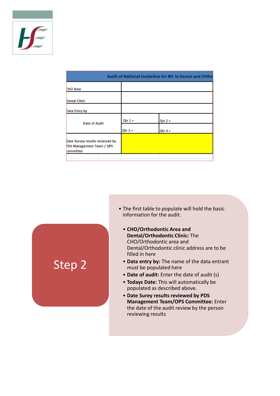

Step 2

|                                                                           |           | Audit of National Guideline for IPC in Dental and Ortho |
|---------------------------------------------------------------------------|-----------|---------------------------------------------------------|
| CHO Area                                                                  |           |                                                         |
| <b>Dental Clinic</b>                                                      |           |                                                         |
| Data Entry by                                                             |           |                                                         |
| <b>Date of Audit</b>                                                      | $Qtr 1 =$ | $Qtr 2 =$                                               |
|                                                                           | $Qtr 3 =$ | $Qtr 4 =$                                               |
| Date Survey results reviewed by<br>PDS Management Team / QPS<br>bommittee |           |                                                         |
|                                                                           |           |                                                         |

- The first table to populate will hold the basic information for the audit.
	- **CHO/Orthodontic Area and Dental/Orthodontic Clinic:** The CHO/Orthodontic area and Dental/Orthodontic clinic address are to be filled in here
	- **Data entry by:** The name of the data entrant must be populated here
	- **Date of audit:** Enter the date of audit (s)
	- **Todays Date:** This will automatically be populated as described above.
	- **Date Surey results reviewed by PDS Management Team/OPS Committee:** Enter the date of the audit review by the person reviewing results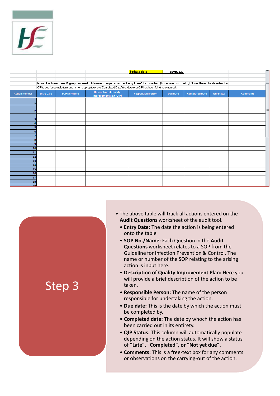

|                      |                   |             |                                                                                                                                                                                                                                                                                        | <b>Todays date</b>        | 21/01/2020      |                       |                   |                 |  |
|----------------------|-------------------|-------------|----------------------------------------------------------------------------------------------------------------------------------------------------------------------------------------------------------------------------------------------------------------------------------------|---------------------------|-----------------|-----------------------|-------------------|-----------------|--|
|                      |                   |             |                                                                                                                                                                                                                                                                                        |                           |                 |                       |                   |                 |  |
|                      |                   |             |                                                                                                                                                                                                                                                                                        |                           |                 |                       |                   |                 |  |
|                      |                   |             | Note: For formulaes & graph to work: Please ensure you enter the "Entry Date" (i.e. date that QIP is entered into the log), "Due Date" (i.e. date that the<br>QIP is due for completion), and, when appropriate, the 'Completed Date' (i.e. date that QIP has been fully implemented). |                           |                 |                       |                   |                 |  |
|                      |                   |             |                                                                                                                                                                                                                                                                                        |                           |                 |                       |                   |                 |  |
| <b>Action Number</b> | <b>Entry Date</b> | SOP No/Name | <b>Description of Quality</b><br><b>Improvement Plan (QIP)</b>                                                                                                                                                                                                                         | <b>Responsible Person</b> | <b>Due Date</b> | <b>Completed Date</b> | <b>QIP Status</b> | <b>Comments</b> |  |
|                      |                   |             |                                                                                                                                                                                                                                                                                        |                           |                 |                       |                   |                 |  |
|                      |                   |             |                                                                                                                                                                                                                                                                                        |                           |                 |                       |                   |                 |  |
|                      |                   |             |                                                                                                                                                                                                                                                                                        |                           |                 |                       |                   |                 |  |
|                      |                   |             |                                                                                                                                                                                                                                                                                        |                           |                 |                       |                   |                 |  |
|                      |                   |             |                                                                                                                                                                                                                                                                                        |                           |                 |                       |                   |                 |  |
|                      |                   |             |                                                                                                                                                                                                                                                                                        |                           |                 |                       |                   |                 |  |
|                      |                   |             |                                                                                                                                                                                                                                                                                        |                           |                 |                       |                   |                 |  |
|                      |                   |             |                                                                                                                                                                                                                                                                                        |                           |                 |                       |                   |                 |  |
| 9                    |                   |             |                                                                                                                                                                                                                                                                                        |                           |                 |                       |                   |                 |  |
| 10                   |                   |             |                                                                                                                                                                                                                                                                                        |                           |                 |                       |                   |                 |  |
| 11                   |                   |             |                                                                                                                                                                                                                                                                                        |                           |                 |                       |                   |                 |  |
| 12                   |                   |             |                                                                                                                                                                                                                                                                                        |                           |                 |                       |                   |                 |  |
| 13                   |                   |             |                                                                                                                                                                                                                                                                                        |                           |                 |                       |                   |                 |  |
| 14                   |                   |             |                                                                                                                                                                                                                                                                                        |                           |                 |                       |                   |                 |  |
| 15                   |                   |             |                                                                                                                                                                                                                                                                                        |                           |                 |                       |                   |                 |  |
| 16                   |                   |             |                                                                                                                                                                                                                                                                                        |                           |                 |                       |                   |                 |  |
| 17                   |                   |             |                                                                                                                                                                                                                                                                                        |                           |                 |                       |                   |                 |  |
| 18                   |                   |             |                                                                                                                                                                                                                                                                                        |                           |                 |                       |                   |                 |  |
| 19                   |                   |             |                                                                                                                                                                                                                                                                                        |                           |                 |                       |                   |                 |  |

### Step 3

- The above table will track all actions entered on the **Audit Questions** worksheet of the audit tool.
	- **Entry Date:** The date the action is being entered onto the table
	- **SOP No./Name:** Each Question in the **Audit Questions** worksheet relates to a SOP from the Guideline for Infection Prevention & Control. The name or number of the SOP relating to the arising action is input here.
	- **Description of Quality Improvement Plan:** Here you will provide a brief description of the action to be taken.
	- **Responsible Person:** The name of the person responsible for undertaking the action.
	- **Due date:** This is the date by which the action must be completed by.
	- **Completed date:** The date by whoch the action has been carried out in its entirety.
	- **QIP Status:** This column will automatically populate depending on the action status. It will show a status of **"Late", "Completed", or "Not yet due".**
	- **Comments:** This is a free-text box for any comments or observations on the carrying-out of the action.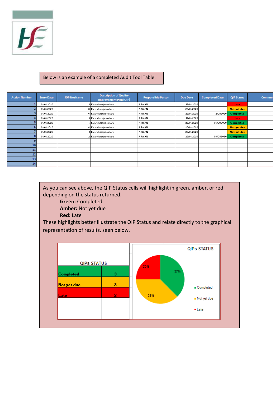

#### Below is an example of a completed Audit Tool Table:

| <b>Action Number</b> | <b>Entry Date</b> | <b>SOP No/Name</b> | <b>Description of Quality</b><br><b>Improvement Plan (QIP)</b> | <b>Responsible Person</b> | <b>Due Date</b> | <b>Completed Date</b> | <b>QIP Status</b>  | <b>Commer</b> |
|----------------------|-------------------|--------------------|----------------------------------------------------------------|---------------------------|-----------------|-----------------------|--------------------|---------------|
|                      | 01/01/2020        |                    | Enter description here                                         | A RYAN                    | 12/01/2020      |                       | Late               |               |
|                      | 01/01/2020        |                    | 3 Enter description here                                       | A RYAN                    | 23/01/2020      |                       | <b>Not yet due</b> |               |
|                      | 01/01/2020        |                    | 6 Enter description here                                       | <b>A RYAN</b>             | 23/01/2020      | 12/01/2020            | <b>Completed</b>   |               |
|                      | 01/01/2020        |                    | 5 Enter description here                                       | A RYAN                    | 12/01/2020      |                       | Late               |               |
|                      | 01/01/2020        |                    | 5 Enter description here                                       | A RYAN                    | 23/01/2020      | 06/01/2020            | <b>Completed</b>   |               |
|                      | 01/01/2020        |                    | 4 Enter description here                                       | <b>A RYAN</b>             | 23/01/2020      |                       | <b>Not yet due</b> |               |
|                      | 01/01/2020        |                    | Finter description here                                        | A RYAN                    | 23/01/2020      |                       | <b>Not yet due</b> |               |
|                      | 01/01/2020        |                    | 2 Enter description here                                       | A RYAN                    | 23/01/2020      | 06/01/2020            | <b>Completed</b>   |               |
|                      |                   |                    |                                                                |                           |                 |                       |                    |               |
| 10                   |                   |                    |                                                                |                           |                 |                       |                    |               |
| 11                   |                   |                    |                                                                |                           |                 |                       |                    |               |
| 12                   |                   |                    |                                                                |                           |                 |                       |                    |               |
| 13                   |                   |                    |                                                                |                           |                 |                       |                    |               |
| 14                   |                   |                    |                                                                |                           |                 |                       |                    |               |